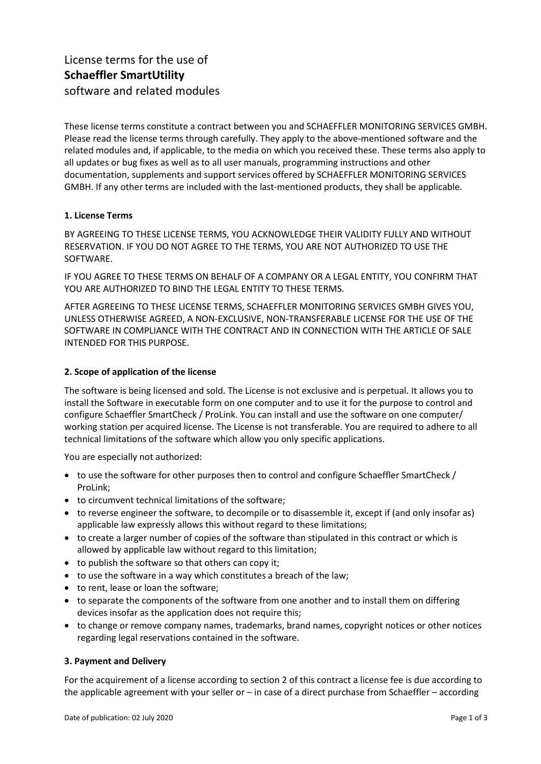# License terms for the use of **Schaeffler SmartUtility** software and related modules

These license terms constitute a contract between you and SCHAEFFLER MONITORING SERVICES GMBH. Please read the license terms through carefully. They apply to the above-mentioned software and the related modules and, if applicable, to the media on which you received these. These terms also apply to all updates or bug fixes as well as to all user manuals, programming instructions and other documentation, supplements and support services offered by SCHAEFFLER MONITORING SERVICES GMBH. If any other terms are included with the last-mentioned products, they shall be applicable.

# **1. License Terms**

BY AGREEING TO THESE LICENSE TERMS, YOU ACKNOWLEDGE THEIR VALIDITY FULLY AND WITHOUT RESERVATION. IF YOU DO NOT AGREE TO THE TERMS, YOU ARE NOT AUTHORIZED TO USE THE SOFTWARE.

IF YOU AGREE TO THESE TERMS ON BEHALF OF A COMPANY OR A LEGAL ENTITY, YOU CONFIRM THAT YOU ARE AUTHORIZED TO BIND THE LEGAL ENTITY TO THESE TERMS.

AFTER AGREEING TO THESE LICENSE TERMS, SCHAEFFLER MONITORING SERVICES GMBH GIVES YOU, UNLESS OTHERWISE AGREED, A NON-EXCLUSIVE, NON-TRANSFERABLE LICENSE FOR THE USE OF THE SOFTWARE IN COMPLIANCE WITH THE CONTRACT AND IN CONNECTION WITH THE ARTICLE OF SALE INTENDED FOR THIS PURPOSE.

#### **2. Scope of application of the license**

The software is being licensed and sold. The License is not exclusive and is perpetual. It allows you to install the Software in executable form on one computer and to use it for the purpose to control and configure Schaeffler SmartCheck / ProLink. You can install and use the software on one computer/ working station per acquired license. The License is not transferable. You are required to adhere to all technical limitations of the software which allow you only specific applications.

You are especially not authorized:

- to use the software for other purposes then to control and configure Schaeffler SmartCheck / ProLink;
- to circumvent technical limitations of the software;
- to reverse engineer the software, to decompile or to disassemble it, except if (and only insofar as) applicable law expressly allows this without regard to these limitations;
- to create a larger number of copies of the software than stipulated in this contract or which is allowed by applicable law without regard to this limitation;
- to publish the software so that others can copy it;
- to use the software in a way which constitutes a breach of the law;
- to rent, lease or loan the software;
- to separate the components of the software from one another and to install them on differing devices insofar as the application does not require this;
- to change or remove company names, trademarks, brand names, copyright notices or other notices regarding legal reservations contained in the software.

#### **3. Payment and Delivery**

For the acquirement of a license according to section 2 of this contract a license fee is due according to the applicable agreement with your seller or – in case of a direct purchase from Schaeffler – according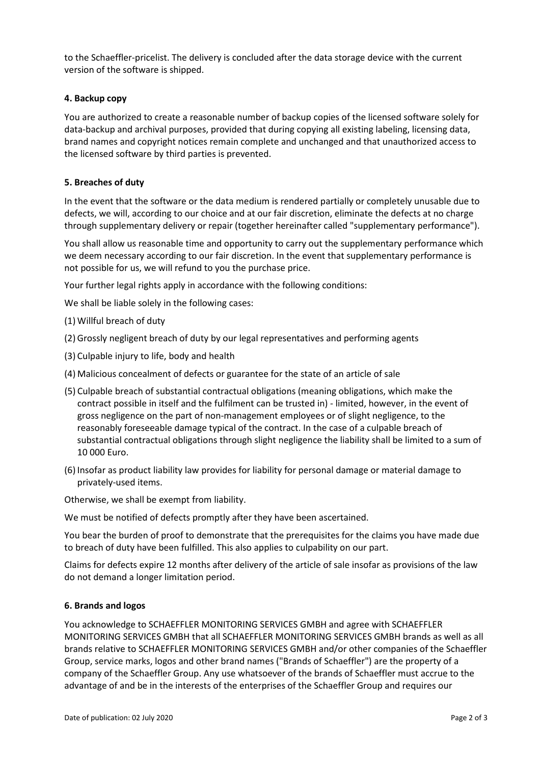to the Schaeffler-pricelist. The delivery is concluded after the data storage device with the current version of the software is shipped.

# **4. Backup copy**

You are authorized to create a reasonable number of backup copies of the licensed software solely for data-backup and archival purposes, provided that during copying all existing labeling, licensing data, brand names and copyright notices remain complete and unchanged and that unauthorized access to the licensed software by third parties is prevented.

# **5. Breaches of duty**

In the event that the software or the data medium is rendered partially or completely unusable due to defects, we will, according to our choice and at our fair discretion, eliminate the defects at no charge through supplementary delivery or repair (together hereinafter called "supplementary performance").

You shall allow us reasonable time and opportunity to carry out the supplementary performance which we deem necessary according to our fair discretion. In the event that supplementary performance is not possible for us, we will refund to you the purchase price.

Your further legal rights apply in accordance with the following conditions:

We shall be liable solely in the following cases:

- (1) Willful breach of duty
- (2) Grossly negligent breach of duty by our legal representatives and performing agents
- (3) Culpable injury to life, body and health
- (4) Malicious concealment of defects or guarantee for the state of an article of sale
- (5) Culpable breach of substantial contractual obligations (meaning obligations, which make the contract possible in itself and the fulfilment can be trusted in) - limited, however, in the event of gross negligence on the part of non-management employees or of slight negligence, to the reasonably foreseeable damage typical of the contract. In the case of a culpable breach of substantial contractual obligations through slight negligence the liability shall be limited to a sum of 10 000 Euro.
- (6) Insofar as product liability law provides for liability for personal damage or material damage to privately-used items.

Otherwise, we shall be exempt from liability.

We must be notified of defects promptly after they have been ascertained.

You bear the burden of proof to demonstrate that the prerequisites for the claims you have made due to breach of duty have been fulfilled. This also applies to culpability on our part.

Claims for defects expire 12 months after delivery of the article of sale insofar as provisions of the law do not demand a longer limitation period.

#### **6. Brands and logos**

You acknowledge to SCHAEFFLER MONITORING SERVICES GMBH and agree with SCHAEFFLER MONITORING SERVICES GMBH that all SCHAEFFLER MONITORING SERVICES GMBH brands as well as all brands relative to SCHAEFFLER MONITORING SERVICES GMBH and/or other companies of the Schaeffler Group, service marks, logos and other brand names ("Brands of Schaeffler") are the property of a company of the Schaeffler Group. Any use whatsoever of the brands of Schaeffler must accrue to the advantage of and be in the interests of the enterprises of the Schaeffler Group and requires our